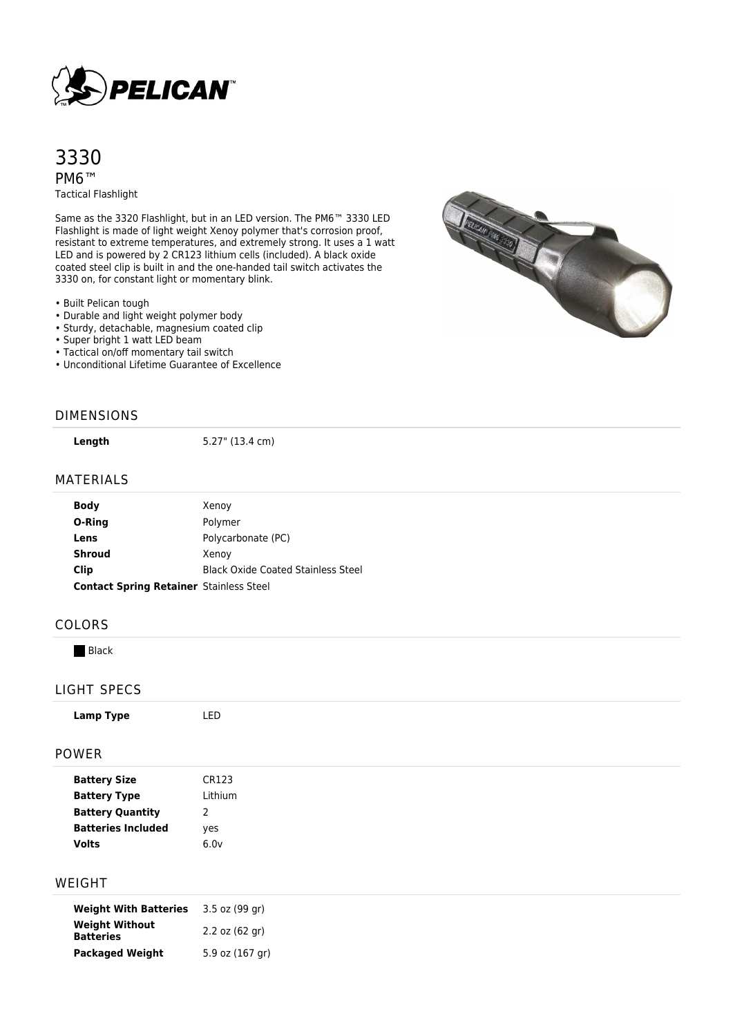

# 3330 PM6™ Tactical Flashlight

Same as the 3320 Flashlight, but in an LED version. The PM6™ 3330 LED Flashlight is made of light weight Xenoy polymer that's corrosion proof, resistant to extreme temperatures, and extremely strong. It uses a 1 watt LED and is powered by 2 CR123 lithium cells (included). A black oxide coated steel clip is built in and the one-handed tail switch activates the 3330 on, for constant light or momentary blink.



- Durable and light weight polymer body
- Sturdy, detachable, magnesium coated clip
- Super bright 1 watt LED beam
- Tactical on/off momentary tail switch
- Unconditional Lifetime Guarantee of Excellence



**Length** 5.27" (13.4 cm)

### MATERIALS

| <b>Body</b>                                    | Xenoy                                     |  |
|------------------------------------------------|-------------------------------------------|--|
| O-Ring                                         | Polymer                                   |  |
| Lens                                           | Polycarbonate (PC)                        |  |
| <b>Shroud</b>                                  | Xenoy                                     |  |
| Clip                                           | <b>Black Oxide Coated Stainless Steel</b> |  |
| <b>Contact Spring Retainer Stainless Steel</b> |                                           |  |

#### COLORS

**Black** 

#### LIGHT SPECS

| Lamp Type               | LED           |
|-------------------------|---------------|
| <b>POWER</b>            |               |
| <b>Battery Size</b>     | CR123         |
| <b>Battery Type</b>     | Lithium       |
| <b>Battery Quantity</b> | $\mathcal{P}$ |

| yes  |
|------|
| 6.0v |
|      |

## WEIGHT

| <b>Weight With Batteries</b>              | 3.5 oz (99 gr)   |
|-------------------------------------------|------------------|
| <b>Weight Without</b><br><b>Batteries</b> | $2.2$ oz (62 gr) |
| <b>Packaged Weight</b>                    | 5.9 oz (167 gr)  |